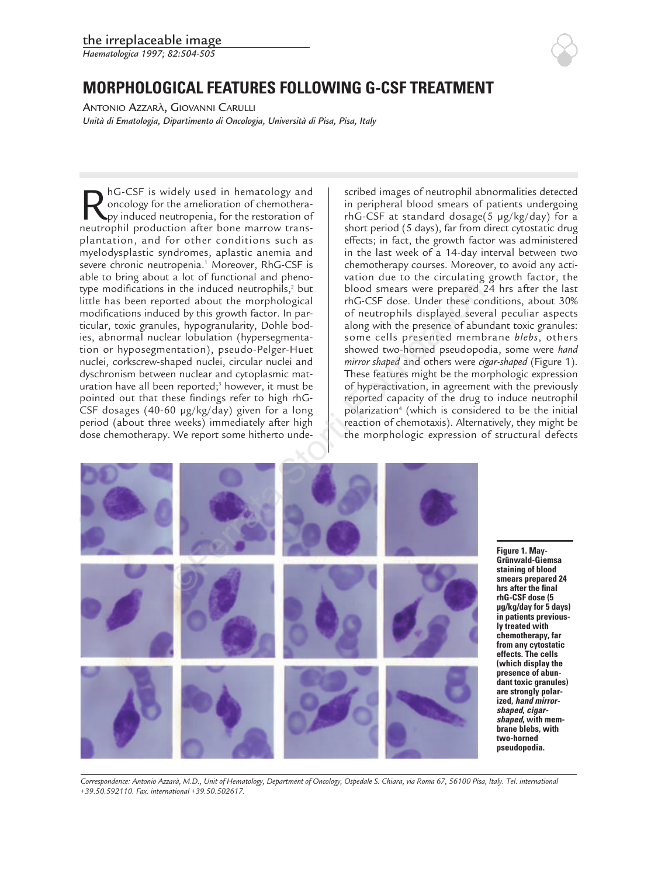*Haematologica 1997; 82:504-505*

## **MORPHOLOGICAL FEATURES FOLLOWING G-CSF TREATMENT**

ANTONIO AZZARÀ, GIOVANNI CARULLI *Unità di Ematologia, Dipartimento di Oncologia, Università di Pisa, Pisa, Italy*

RhG-CSF is widely used in hematology and<br>oncology for the amelioration of chemothera-<br>py induced neutropenia, for the restoration of<br>neutrophil production after bone marrow transoncology for the amelioration of chemotherapy induced neutropenia, for the restoration of neutrophil production after bone marrow transplantation, and for other conditions such as myelodysplastic syndromes, aplastic anemia and severe chronic neutropenia.<sup>1</sup> Moreover, RhG-CSF is able to bring about a lot of functional and phenotype modifications in the induced neutrophils, $2$  but little has been reported about the morphological modifications induced by this growth factor. In particular, toxic granules, hypogranularity, Dohle bodies, abnormal nuclear lobulation (hypersegmentation or hyposegmentation), pseudo-Pelger-Huet nuclei, corkscrew-shaped nuclei, circular nuclei and dyschronism between nuclear and cytoplasmic maturation have all been reported;<sup>3</sup> however, it must be pointed out that these findings refer to high rhG-CSF dosages (40-60 µg/kg/day) given for a long period (about three weeks) immediately after high dose chemotherapy. We report some hitherto undescribed images of neutrophil abnormalities detected in peripheral blood smears of patients undergoing rhG-CSF at standard dosage(5 µg/kg/day) for a short period (5 days), far from direct cytostatic drug effects; in fact, the growth factor was administered in the last week of a 14-day interval between two chemotherapy courses. Moreover, to avoid any activation due to the circulating growth factor, the blood smears were prepared 24 hrs after the last rhG-CSF dose. Under these conditions, about 30% of neutrophils displayed several peculiar aspects along with the presence of abundant toxic granules: some cells presented membrane *blebs*, others showed two-horned pseudopodia, some were *hand mirror shaped* and others were *cigar-shaped* (Figure 1). These features might be the morphologic expression of hyperactivation, in agreement with the previously reported capacity of the drug to induce neutrophil polarization<sup>4</sup> (which is considered to be the initial reaction of chemotaxis). Alternatively, they might be the morphologic expression of structural defects



**Figure 1. May-Grünwald-Giemsa staining of blood smears prepared 24 hrs after the final rhG-CSF dose (5 µg/kg/day for 5 days) in patients previously treated with chemotherapy, far from any cytostatic effects. The cells (which display the presence of abundant toxic granules) are strongly polarized, hand mirrorshaped, cigarshaped, with membrane blebs, with two-horned pseudopodia.** 

*Correspondence: Antonio Azzarà, M.D., Unit of Hematology, Department of Oncology, Ospedale S. Chiara, via Roma 67, 56100 Pisa, Italy. Tel. international +39.50.592110. Fax. international +39.50.502617.*